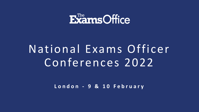

# National Exams Officer Conferences 2022

London - 9 & 10 February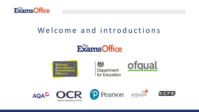

# Welcome and introductions

# **ExamsOffice**



後え Department for Education

XXXXXXXXXXXXXXXXXXXXXXXXXXXXXXXX



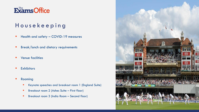

## H o u s e k e e p i n g

- **E** Health and safety COVID-19 measures
- **Break/lunch and dietary requirements**
- **Venue facilities**
- **Exhibitors**
- **Rooming** 
	- **EXECTE:** Keynote speeches and breakout room 1 (England Suite)
	- Breakout room 2 (Ashes Suite First floor)
	- Breakout room 3 (India Room Second floor)

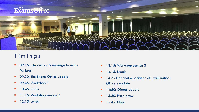

# **Timings**

- 09.15: Introduction & message from the Minister
- 09.30: The Exams Office update
- 09.45: Workshop 1
- 10.45: Break
- 11.15: Workshop session 2
- 12.15: Lunch
- **13.15: Workshop session 3**
- 14.15: Break
- **14:35 National Association of Examinations** Officers update
- **14:50: Ofqual update**
- **15.30: Prize draw**
- 15.45: Close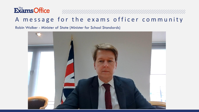

# A message for the exams officer community

Robin Walker - Minister of State (Minister for School Standards)

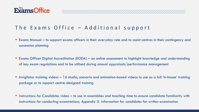

#### The Exams Office - Additional support

■ Exams Manual – to support exams officers in their everyday role and to assist centres in their contingency and succession planning

- Exams Officer Digital Accreditation (EODA) an online assessment to highlight knowledge and understanding of key exam regulations and to be utilised during annual appraisals/performance management
- Invigilator training videos 16 studio, scenario and animation-based videos to use as a full 'in-house' training package or to support centre-designed training
- *Instructions for Candidates* video to use in assemblies and teaching time to ensure candidate familiarity with *Instructions for conducting examinations, Appendix 5: Information for candidates for written examination*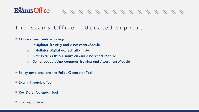

### The Exams Office  $-$  Updated support

XXXXXXXXXXXXXXXXXXXXXXXXXXXXXXXX

- Online assessments including:
	- o Invigilator Training and Assessment Module
	- o Invigilator Digital Accreditation (IDA)
	- o New Exams Officer Induction and Assessment Module
	- o Senior Leader/Line Manager Training and Assessment Module
- **Policy templates and the Policy Generator Tool**
- **Exams Timetable Tool**
- **EXEGY Dates Calendar Tool**
- **Training Videos**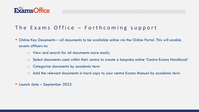

#### The Exams Office - Forthcoming support

- Online Key Documents all documents to be available online via the Online Portal. This will enable exams officers to:
	- o View and search for all documents more easily
	- o Select documents used within their centre to create a bespoke online 'Centre Exams Handbook'

ANAMAN MANAMAN MANAMAN MANAMAN MANAMAN MANAMAN MANAMAN MANAMAN MANAMAN MANAMAN MANAMAN MANAMAN MANAMAN MANAMAN

- o Categorise documents by academic term
- o Add the relevant documents in hard copy to your centre Exams Manual by academic term
- Launch date September 2022